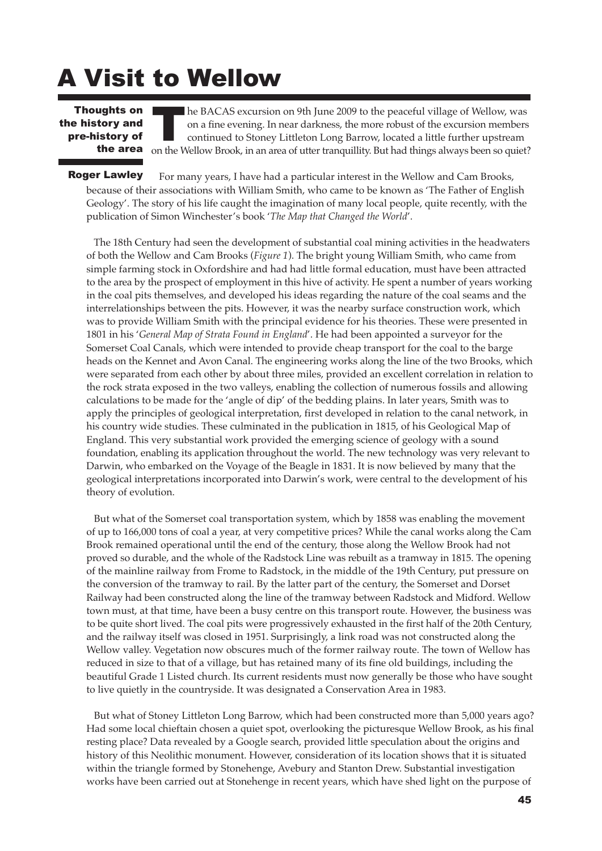## A Visit to Wellow

Thoughts on<br> **Example 19 has been defined**<br> **The area** on the M the history and pre-history of the area

he BACAS excursion on 9th June 2009 to the peaceful village of Wellow, was on a fine evening. In near darkness, the more robust of the excursion members continued to Stoney Littleton Long Barrow, located a little further upstream on the Wellow Brook, in an area of utter tranquillity. But had things always been so quiet?

For many years, I have had a particular interest in the Wellow and Cam Brooks, because of their associations with William Smith, who came to be known as 'The Father of English Geology'. The story of his life caught the imagination of many local people, quite recently, with the publication of Simon Winchester's book '*The Map that Changed the World*'. Roger Lawley

The 18th Century had seen the development of substantial coal mining activities in the headwaters of both the Wellow and Cam Brooks (*Figure 1*). The bright young William Smith, who came from simple farming stock in Oxfordshire and had had little formal education, must have been attracted to the area by the prospect of employment in this hive of activity. He spent a number of years working in the coal pits themselves, and developed his ideas regarding the nature of the coal seams and the interrelationships between the pits. However, it was the nearby surface construction work, which was to provide William Smith with the principal evidence for his theories. These were presented in 1801 in his '*General Map of Strata Found in England*'. He had been appointed a surveyor for the Somerset Coal Canals, which were intended to provide cheap transport for the coal to the barge heads on the Kennet and Avon Canal. The engineering works along the line of the two Brooks, which were separated from each other by about three miles, provided an excellent correlation in relation to the rock strata exposed in the two valleys, enabling the collection of numerous fossils and allowing calculations to be made for the 'angle of dip' of the bedding plains. In later years, Smith was to apply the principles of geological interpretation, first developed in relation to the canal network, in his country wide studies. These culminated in the publication in 1815, of his Geological Map of England. This very substantial work provided the emerging science of geology with a sound foundation, enabling its application throughout the world. The new technology was very relevant to Darwin, who embarked on the Voyage of the Beagle in 1831. It is now believed by many that the geological interpretations incorporated into Darwin's work, were central to the development of his theory of evolution.

But what of the Somerset coal transportation system, which by 1858 was enabling the movement of up to 166,000 tons of coal a year, at very competitive prices? While the canal works along the Cam Brook remained operational until the end of the century, those along the Wellow Brook had not proved so durable, and the whole of the Radstock Line was rebuilt as a tramway in 1815. The opening of the mainline railway from Frome to Radstock, in the middle of the 19th Century, put pressure on the conversion of the tramway to rail. By the latter part of the century, the Somerset and Dorset Railway had been constructed along the line of the tramway between Radstock and Midford. Wellow town must, at that time, have been a busy centre on this transport route. However, the business was to be quite short lived. The coal pits were progressively exhausted in the first half of the 20th Century, and the railway itself was closed in 1951. Surprisingly, a link road was not constructed along the Wellow valley. Vegetation now obscures much of the former railway route. The town of Wellow has reduced in size to that of a village, but has retained many of its fine old buildings, including the beautiful Grade 1 Listed church. Its current residents must now generally be those who have sought to live quietly in the countryside. It was designated a Conservation Area in 1983.

But what of Stoney Littleton Long Barrow, which had been constructed more than 5,000 years ago? Had some local chieftain chosen a quiet spot, overlooking the picturesque Wellow Brook, as his final resting place? Data revealed by a Google search, provided little speculation about the origins and history of this Neolithic monument. However, consideration of its location shows that it is situated within the triangle formed by Stonehenge, Avebury and Stanton Drew. Substantial investigation works have been carried out at Stonehenge in recent years, which have shed light on the purpose of